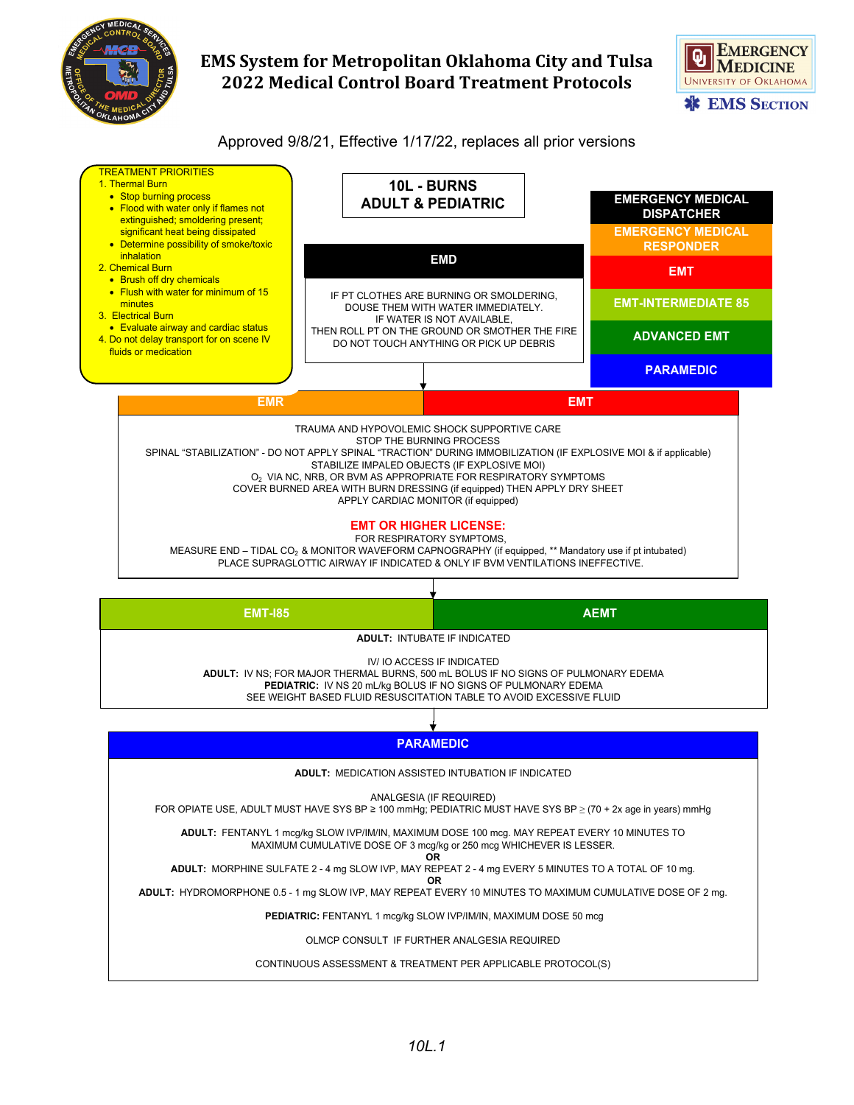

## **EMS System for Metropolitan Oklahoma City and Tulsa 2022 Medical Control Board Treatment Protocols**



#### Approved 9/8/21, Effective 1/17/22, replaces all prior versions

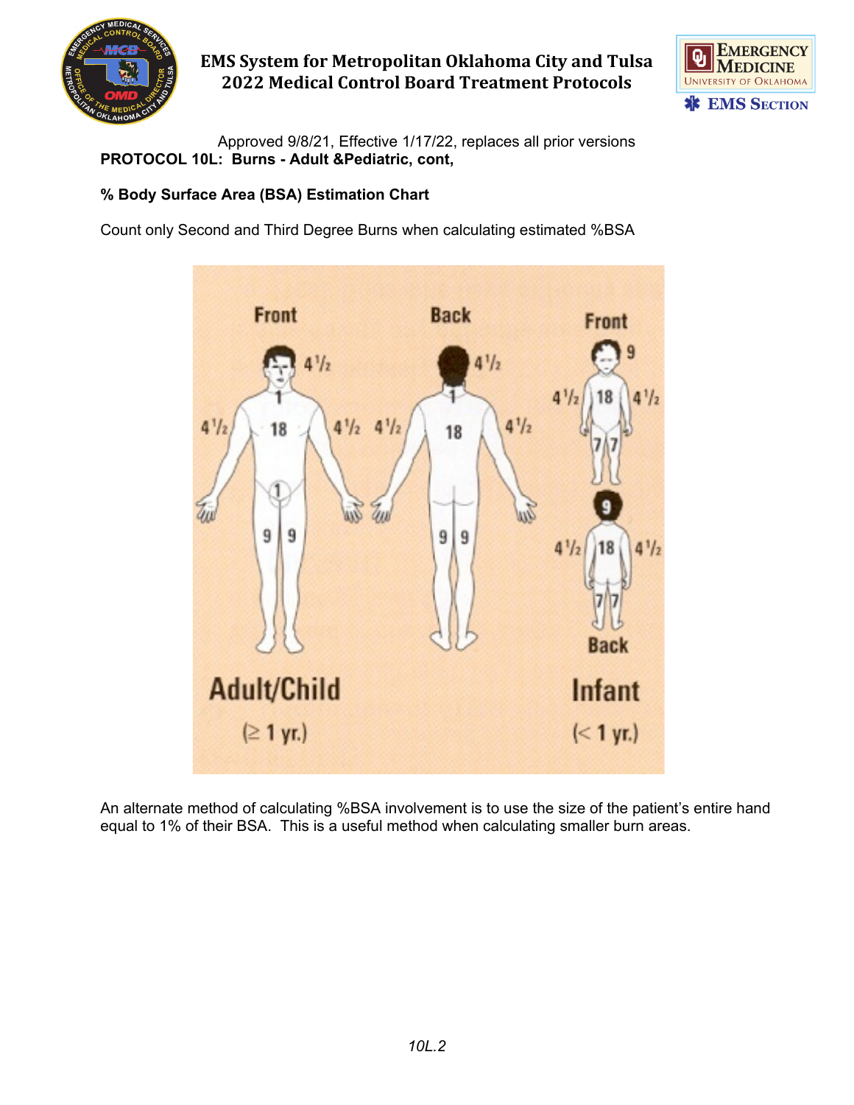

## **EMS System for Metropolitan Oklahoma City and Tulsa 2022 Medical Control Board Treatment Protocols**



Approved 9/8/21, Effective 1/17/22, replaces all prior versions **PROTOCOL 10L: Burns - Adult &Pediatric, cont,**

#### **% Body Surface Area (BSA) Estimation Chart**

Count only Second and Third Degree Burns when calculating estimated %BSA



An alternate method of calculating %BSA involvement is to use the size of the patient's entire hand equal to 1% of their BSA. This is a useful method when calculating smaller burn areas.